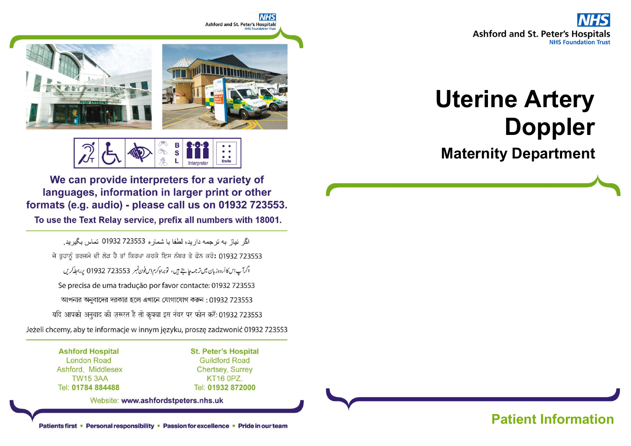

**Doppler** 

**Uterine Artery** 

**Maternity Department** 



**NHS** 

в  $\bullet$ S  $\bullet$ Braille

We can provide interpreters for a variety of languages, information in larger print or other formats (e.g. audio) - please call us on 01932 723553.

To use the Text Relay service, prefix all numbers with 18001.

اگر نباز به ترجمه دارید، لطفا با شمار ه 723553 01932 تماس بگیرید. ਜੇ ਤੁਹਾਨੂੰ ਤਰਜਮੇ ਦੀ ਲੋੜ ਹੈ ਤਾਂ ਕਿਰਪਾ ਕਰਕੇ ਇਸ ਨੰਬਰ ਤੇ ਫੋਨ ਕਰੋ: 01932 723553 اگرآپ اِس کا اُردوزبان میں تر جمہ چاہتے ہیں، توبراہ کرم اِس فون نمبر 723553 01932 پر ابط کریں Se precisa de uma tradução por favor contacte: 01932 723553 আপনার অনুবাদের দরকার হলে এখানে যোগাযোগ করুন: 01932 723553 यदि आपको अनुवाद की जरूरत है तो कृपया इस नंबर पर फोन करें: 01932 723553 Jeżeli chcemy, aby te informacje w innym jezyku, prosze zadzwonić 01932 723553

> **Ashford Hospital London Road** Ashford, Middlesex **TW15 3AA** Tel: 01784 884488

**St. Peter's Hospital Guildford Road Chertsey, Surrey KT16 0PZ.** Tel: 01932 872000

Website: www.ashfordstpeters.nhs.uk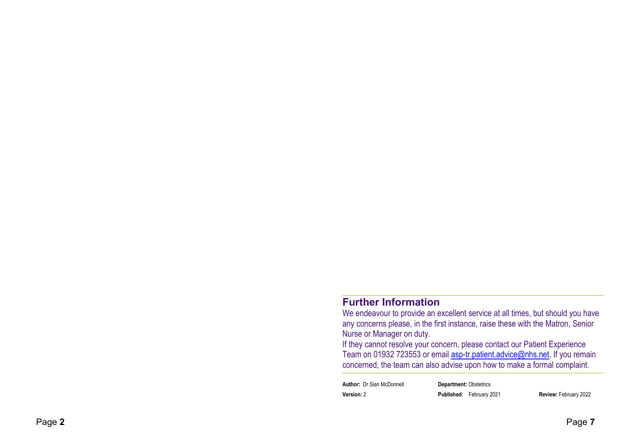#### Further Information

We endeavour to provide an excellent service at all times, but should you have any concerns please, in the first instance, raise these with the Matron, Senior Nurse or Manager on duty.

If they cannot resolve your concern, please contact our Patient Experience Team on 01932 723553 or email asp-tr.patient.advice@nhs.net. If you remain concerned, the team can also advise upon how to make a formal complaint.

Author: Dr Sian McDonnell **Department: Obstetrics** Version:

Published: February 2021 Review: February 2022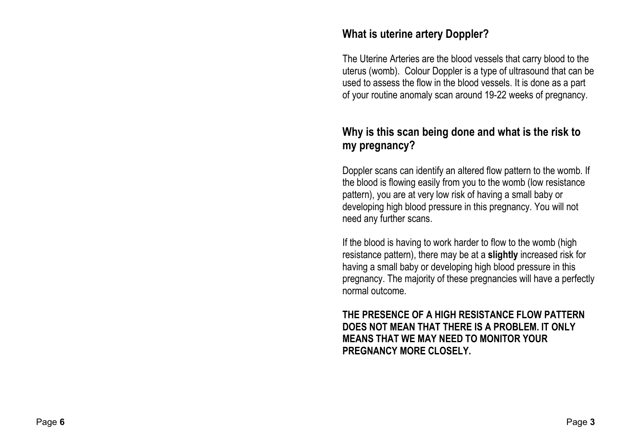### What is uterine artery Doppler?

The Uterine Arteries are the blood vessels that carry blood to the uterus (womb). Colour Doppler is a type of ultrasound that can be used to assess the flow in the blood vessels. It is done as a part of your routine anomaly scan around 19-22 weeks of pregnancy.

## Why is this scan being done and what is the risk to my pregnancy?

Doppler scans can identify an altered flow pattern to the womb. If the blood is flowing easily from you to the womb (low resistance pattern), you are at very low risk of having a small baby or developing high blood pressure in this pregnancy. You will not need any further scans.

If the blood is having to work harder to flow to the womb (high resistance pattern), there may be at a slightly increased risk for having a small baby or developing high blood pressure in this pregnancy. The majority of these pregnancies will have a perfectly normal outcome.

THE PRESENCE OF A HIGH RESISTANCE FLOW PATTERN DOES NOT MEAN THAT THERE IS A PROBLEM. IT ONLY MEANS THAT WE MAY NEED TO MONITOR YOUR PREGNANCY MORE CLOSELY.